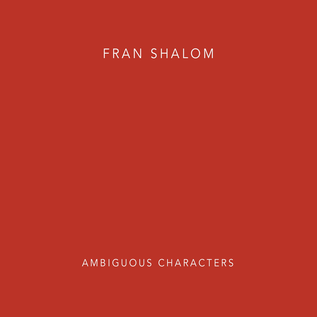# FRAN SHALOM

AM BIGUOUS CHARACTERS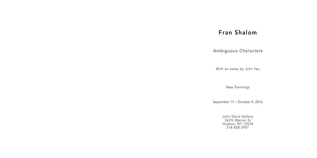| Fran        |
|-------------|
| Ambiguo     |
| With an es  |
| Nev         |
| September 1 |
| John I      |

# Shalom

*Ambiguous Characters*

essay by John Yau

w Paintings

17 – October 9, 2016

John Davis Gallery 362½ Warren St Hudson, NY 12534 518 828 5907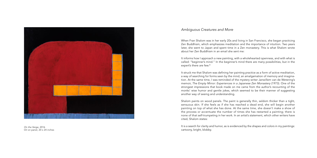# *Ambiguous Creatures and More*

When Fran Shalom was in her early 20s and living in San Francisco, she began practicing Zen Buddhism, which emphasizes meditation and the importance of intuition. Two years later, she went to Japan and spent time in a Zen monastery. This is what Shalom wrote about her Zen Buddhism in an email she sent me:

It informs how I approach a new painting, with a wholehearted openness, and with what is called: "beginner's mind." In the beginner's mind there are many possibilities, but in the expert's there are few.\*

It struck me that Shalom was defining her painting practice as a form of active meditation, a way of searching for forms seen by the mind, an amalgamation of memory and imagina tion. At the same time, I was reminded of the mystery writer Janwillem van de Wetering's memoir, *The Empty Mirror: Experiences in a Japanese Zen Monastery* (1973). One of the strongest impressions that book made on me came from the author's recounting of the monks' wise humor and gentle jokes, which seemed to be their manner of suggesting another way of seeing and understanding.

Shalom paints on wood panels. The paint is generally thin, seldom thicker than a tight, sensuous skin. If she feels as if she has reached a dead end, she will begin another painting on top of what she has done. At the same time, she doesn't make a show of the process or accentuate the number of times she has restarted a painting; there is none of that self-trumpeting in her work. In an artist's statement, which other writers have cited, Shalom states:<br>It is a search for clarity and humor, as is evidenced by the shapes and colors in my paintings:

cartoony, bright, blobby.



*On the Verge,* 2016 Oil on panel, 20 x 24 inches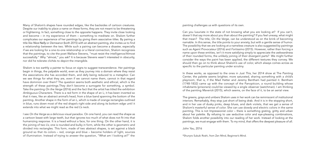painting challenges us with questions of its own.

Can you luxuriate in the state of not knowing what you are looking at? If you can't, doesn't that say more about you than about the painting? If you feel uneasy, what might that mean? The title, *On the Verge*, can be understood as on the brink of becoming namable. In this sense, the title points to your anxiety, but with a gentle sense of humor. The possibility that we are looking at a nameless creature is also suggested by paintings such as *Agent Provocateur* (2016) and *Fortissimo* (2015). However, rather than forcing a name upon these entities, isn't it more satisfying simply to appreciate the awkwardness of their rounded forms, the unlikely joining of their divergent parts? We might further consider the ways the paint has been applied, the different textures they convey. We should then go on to think about Shalom's use of color, which always comes across as specific to the particular painting under scrutiny.

In these works, as opposed to the ones in *Just This*, her 2014 show at The Painting Center, the palette seems brighter, more saturated, sharing something with a child's playroom, that is, if the Mad Hatter and Jeremy Bentham had painted it. Bentham (1748-1832) came up with the concept of the Panopticon, a round building whose inhabitants (prisoners) could be viewed by a single observer (watchman). I am thinking of the painting *Maverick* (2015), which seems, on the face of it, to be an aerial view.

The greens, grays and umbers Shalom uses in her work can be reminiscent of institutional interiors. Remarkably, they stop just short of being drab. And it is in the stopping short, and in her use of dusky pinks, deep blues, and dark violets, that we get a sense of Shalom's masterful sense of color. She can use dowdy and electric colors in the same painting. This is not Impressionist color – there is something grating, gritty and urban about her palette. By refusing to use seductive color and eye-pleasing combinations, Shalom folds another possibility into our reading of her work. Instead of looking at the paintings, we must engage with them. To my mind, that offers the deepest pleasure of all.

John Yau, 2016

\*Shunyro Sukuki Roshi, from Zen Mind, Beginner's Mind.

Many of Shalom's shapes have rounded edges, like the backsides of cartoon creatures. Despite our inability to place a name on these forms, they are not meant to be threatening or frightening. In fact, something close to the opposite happens. They invite close looking and become – in my experience of them – something to meditate on. Shalom further complicates our experience of her paintings by giving them associative titles. By pairing a title like *Nice Nelly* or *Demeanor* (both 2015) with an abstract painting, she invites us to find a relationship between the two. While such a pairing can become a disaster, especially if we are looking for a one-to-one relationship or a literal connection, Shalom recognizes that the paintings, to cite the poet Wallace Stevens, "must resist the intelligence/Almost successfully." Why "almost," you ask? It is because Stevens wasn't interested in obscurity, nor did he tolerate clichés to depict the intangible.

Shalom is too earthly a painter to focus on signs to suggest transcendence. Her paintings begin in things, the palpable world, even as they journey into a domain where they resist the associations she has accorded them, and defy being reduced to a metaphor. Can we see things for what they are, even if we cannot name them, cannot in that regard have dominion over them? The question seems both aesthetic and ethical, which is the strength of these paintings.They don't become a surrogate for something, a symbol. Take the painting *On the Verge* (2016) and the fact that the artist has titled the exhibition *Ambiguous Characters.* There is a red form in the shape of an L; it has been inverted so that it rises, like an abstract animal's head, from a blue band spanning the bottom of the painting. Another shape in the form of an L, which is made of orange rectangles outlined in blue, runs down most of the red shape's right side and along its bottom edge until it extends into what we might read as the red L's neck.

I see *On the Verge* as a delicious visual paradox. On one hand, you can read the shape as a cartoon beast with large teeth, but that ignores too much of what does not fit into that humanizing response. It is a head without a face, for one thing. On the other hand, it is the joining of two L's; one is rounded and bulky in form, while the other is geometric and divided into rectangles. This form, made of two abstract shapes, is set against a black ground so that its colors – red, orange and blue – become holders of light, sources of illumination. Instead of trying to answer the question, "What am I looking at?" the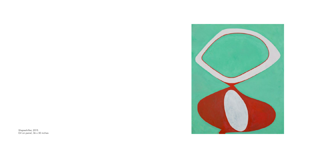*Shapeshifter,* 2015 Oil on panel, 36 x 30 inches

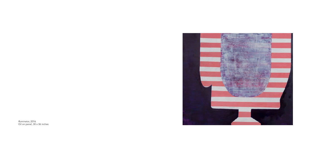*Ruminator,* 2016 Oil on panel, 30 x 36 inches

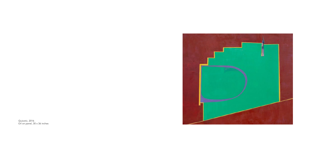*Quixotic,* 2016 Oil on panel, 30 x 36 inches

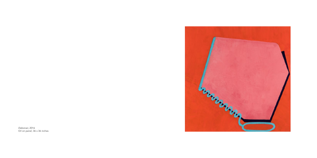*Debonair,* 2016 Oil on panel, 36 x 36 inches

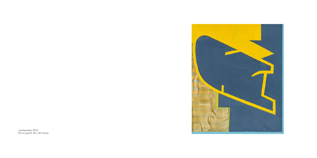*Lionhearted*, 2016 Oil on panel, 36 x 30 inches

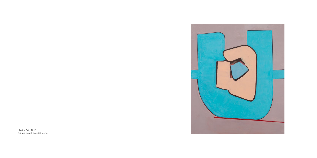*Savior Fair,* 2016 Oil on panel, 36 x 30 inches

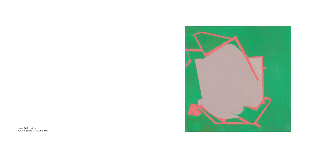*Nice Nelly,* 2015 Oil on panel, 24 x 24 inches

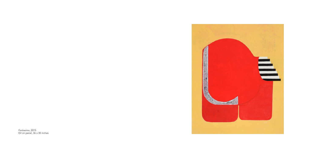*Fortissimo*, 2015 Oil on panel, 36 x 30 inches

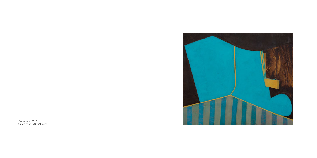*Rendevous*, 2015 Oil on panel, 20 x 24 inches

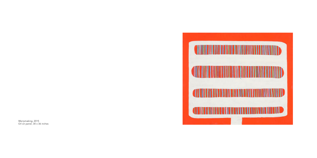*Merrymaking,* 2015 Oil on panel, 30 x 36 inches

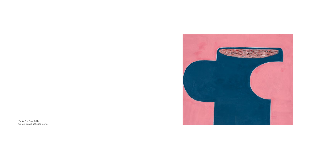*Table for Two*, 2016 Oil on panel, 20 x 20 inches

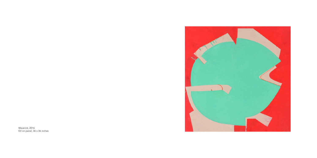*Maverick,* 2016 Oil on panel, 36 x 36 inches

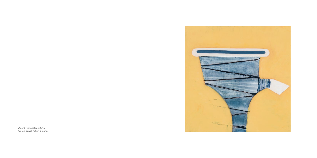*Agent Provacateur,* 2016 Oil on panel, 12 x 12 inches

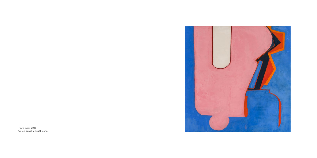*Town Crier,* 2016 Oil on panel, 24 x 24 inches

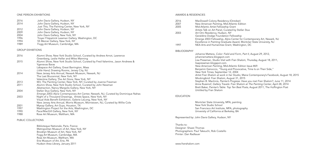### ONE PERSON EXHIBITIONS

| 2016 | Alumni Show, New York Studio School, Curated by Andrew Arnot, Lawrence              |  |  |  |
|------|-------------------------------------------------------------------------------------|--|--|--|
|      | Greenberg, Leslie Heller and Miles Manning                                          |  |  |  |
| 2015 | Alumni Show, New York Studio School, Curated by Fred Valentine, Jason Andrews &     |  |  |  |
|      | Ygenevas Baras                                                                      |  |  |  |
|      | Labspace Art Gallery, Great Barrington, Mass                                        |  |  |  |
|      | Little Hand, Drawing Rooms, Jersey City, NJ                                         |  |  |  |
| 2014 | New Jersey Arts Annual, Newark Museum, Newark, NJ                                   |  |  |  |
|      | The Last Brucennial, New York, NY                                                   |  |  |  |
|      | Valentine Gallery, The Art Store, New York, NY                                      |  |  |  |
| 2013 | Wit, The Painting Center, New York, NY, Curated by Joanne Freeman                   |  |  |  |
| 2011 | Alumni Show, New York Studio School, Curated by John Newman                         |  |  |  |
|      | Abstraction, Nancy Margolis Gallery, New York, NY                                   |  |  |  |
| 2004 | Stefan Stux Gallery, New York, NY                                                   |  |  |  |
|      | Emerge 2003, Aljira Contemporary Art Center, Newark, NJ, Curated by Dominique Nahas |  |  |  |
| 2003 | Night of a Thousand Drawings, Artists Space, New York, NY                           |  |  |  |
|      | Visual Aids Benefit Exhibition, Galerie LeLong, New York, NY                        |  |  |  |
|      | New Jersey Arts Annual, Morris Museum, Morristown, NJ, Curated by Willie Cole       |  |  |  |
| 2001 | Mysop Gallery, Art Guys, Houston, TX                                                |  |  |  |
| 1997 | Washington Project for the Arts, Washington, DC                                     |  |  |  |
| 1990 | Pace/MacGill Gallery, New York, NY                                                  |  |  |  |
| 1988 | Rose Art Museum, Waltham, MA                                                        |  |  |  |

#### GROUP EXHIBTIONS

| 2016 | John Davis Gallery, Hudson, NY                     | 2016 | MacDowell Colony Residency (Octo      |
|------|----------------------------------------------------|------|---------------------------------------|
| 2014 | John Davis Gallery, Hudson, NY                     | 2007 | New American Painting, Mid-Atlanti    |
|      | Just This, The Painting Center, New York, NY       | 2005 | Mid-Atlantic Artist Fellowship Grant  |
| 2012 | John Davis Gallery, Hudson, NY                     |      | Artists Talk on Art Panel, Curated by |
| 2009 | John Davis Gallery, Hudson, NY                     | 2003 | Art Omi Residency, Hudson, NY         |
| 2004 | John Davis Gallery, New York, NY                   |      | Geraldine Dodge Foundation Felloy     |
| 1996 | Troyer Fitzpatrick Lassman Gallery, Washington, DC |      | Emerge 2003 Fellowship, Aljira Cen    |
| 1994 | 55 Mercer Gallery, New York, NY                    |      | Excellence in Painting Graduate Aw    |
| 1989 | Fogg Art Museum, Cambridge, MA                     | 1997 | NEA Arts and Humanities Grant, Wa     |

#### PUBLIC COLLECTIONS

 Biblioteque Nationale, Paris, France Metropolitan Museum of Art, New York, NY Brooklyn Museum of Art, New York, NY Fogg Art Museum, Cambridge, MA Rose Art Museum, Waltham, MA Erie Museum of Art, Erie, PA Hudson Area Library, January 2011

# AWARDS & RESIDENCIES

cy (October) d-Atlantic Edition rated by Stefan Stux on Fellowship ljira Center for Contemporary Art, Newark, NJ exate Award, Montclair State University, NJ rant, Washington, DC

# BIBLIOGRAPHY

 Johanne Mattera, *Color: Field and Form, Part II,* August 29, 2012, johannemattera.blogspot.com Lisa Pressman, *Studio Visit with Fran Shalom*, Thursday, August 18, 2011, lisapressman.blogspot.com. *New American Painting,* Mid-Atlantic Edition Issue #69. Benjamin Genoccio, "Young and Provocative, Time Is on Their Side,"  *New York Times,* September 12, 2004 *Artist Fran Shalom at work in her Studio*, Mana Contemporary's Facebook, August 18, 2015 *Mockingbird: Fran Shalom*, August 31, 2015 Stephen B. MacInnis, *Painter's Progress: Have you met Fran Shalom?*, June 11, 2014 Anne Russinof, *Gallery Travels: Fran Shalom at The Painting Center*, April 28, 2014 Brett Baker, *Painter's Table: Top Ten Best Posts*, August 2011, The Huffington Post *Untitled* by Fran Shalom

### EDUCATION

 Montclair State University, MFA, painting New York Studio School San Francisco Art Institute, MFA, photography University of California at Berkeley, BA

Represented by: John Davis Gallery, Hudson, NY

Thanks to: Designer: Shazzi Thomas Photographers: Paul Takeuchi, Rob Costello Printer: Dan Radlauer

www.franshalom.com